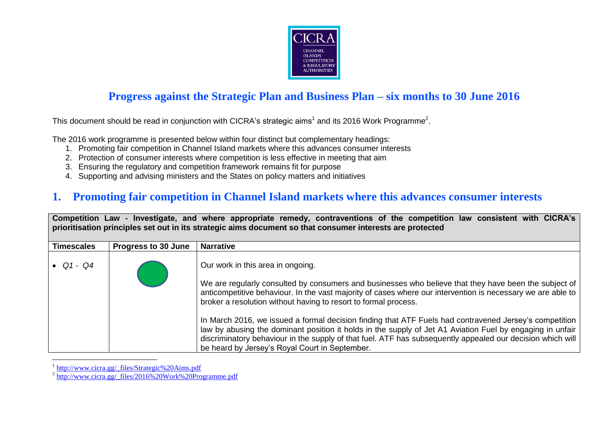

### **Progress against the Strategic Plan and Business Plan – six months to 30 June 2016**

This document should be read in conjunction with CICRA's strategic aims<sup>1</sup> and its 2016 Work Programme<sup>2</sup>.

The 2016 work programme is presented below within four distinct but complementary headings:

- 1. Promoting fair competition in Channel Island markets where this advances consumer interests
- 2. Protection of consumer interests where competition is less effective in meeting that aim
- 3. Ensuring the regulatory and competition framework remains fit for purpose
- 4. Supporting and advising ministers and the States on policy matters and initiatives

### **1. Promoting fair competition in Channel Island markets where this advances consumer interests**

|                   |                            | Competition Law - Investigate, and where appropriate remedy, contraventions of the competition law consistent with CICRA's<br>prioritisation principles set out in its strategic aims document so that consumer interests are protected                                                                                                                                                                                                                                                                                                                                                                                                                                                                             |
|-------------------|----------------------------|---------------------------------------------------------------------------------------------------------------------------------------------------------------------------------------------------------------------------------------------------------------------------------------------------------------------------------------------------------------------------------------------------------------------------------------------------------------------------------------------------------------------------------------------------------------------------------------------------------------------------------------------------------------------------------------------------------------------|
| <b>Timescales</b> | <b>Progress to 30 June</b> | <b>Narrative</b>                                                                                                                                                                                                                                                                                                                                                                                                                                                                                                                                                                                                                                                                                                    |
| • $Q1 - Q4$       |                            | Our work in this area in ongoing.<br>We are regularly consulted by consumers and businesses who believe that they have been the subject of<br>anticompetitive behaviour. In the vast majority of cases where our intervention is necessary we are able to<br>broker a resolution without having to resort to formal process.<br>In March 2016, we issued a formal decision finding that ATF Fuels had contravened Jersey's competition<br>law by abusing the dominant position it holds in the supply of Jet A1 Aviation Fuel by engaging in unfair<br>discriminatory behaviour in the supply of that fuel. ATF has subsequently appealed our decision which will<br>be heard by Jersey's Royal Court in September. |

<sup>1</sup> [http://www.cicra.gg/\\_files/Strategic%20Aims.pdf](http://www.cicra.gg/_files/Strategic%20Aims.pdf)

 $\overline{a}$ 

<sup>&</sup>lt;sup>2</sup> [http://www.cicra.gg/\\_files/2016%20Work%20Programme.pdf](http://www.cicra.gg/_files/2016%20Work%20Programme.pdf)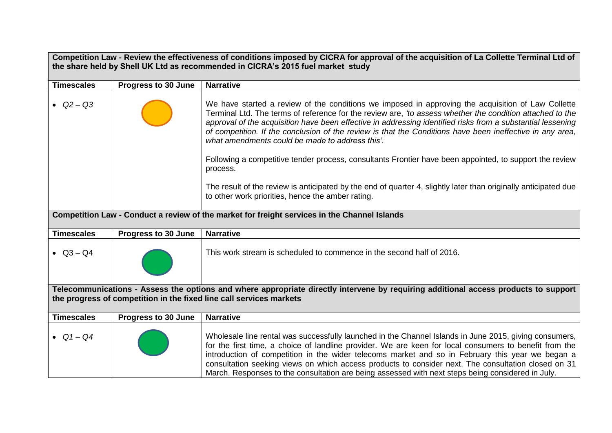| Competition Law - Review the effectiveness of conditions imposed by CICRA for approval of the acquisition of La Collette Terminal Ltd of |                     |                                                                                                                                                                                                                                                                                                                                                                                                                                                                                                                                  |
|------------------------------------------------------------------------------------------------------------------------------------------|---------------------|----------------------------------------------------------------------------------------------------------------------------------------------------------------------------------------------------------------------------------------------------------------------------------------------------------------------------------------------------------------------------------------------------------------------------------------------------------------------------------------------------------------------------------|
|                                                                                                                                          |                     | the share held by Shell UK Ltd as recommended in CICRA's 2015 fuel market study                                                                                                                                                                                                                                                                                                                                                                                                                                                  |
| <b>Timescales</b>                                                                                                                        | Progress to 30 June | <b>Narrative</b>                                                                                                                                                                                                                                                                                                                                                                                                                                                                                                                 |
|                                                                                                                                          |                     |                                                                                                                                                                                                                                                                                                                                                                                                                                                                                                                                  |
| • $Q2 - Q3$                                                                                                                              |                     | We have started a review of the conditions we imposed in approving the acquisition of Law Collette<br>Terminal Ltd. The terms of reference for the review are, 'to assess whether the condition attached to the<br>approval of the acquisition have been effective in addressing identified risks from a substantial lessening<br>of competition. If the conclusion of the review is that the Conditions have been ineffective in any area,<br>what amendments could be made to address this'.                                   |
|                                                                                                                                          |                     | Following a competitive tender process, consultants Frontier have been appointed, to support the review<br>process.                                                                                                                                                                                                                                                                                                                                                                                                              |
|                                                                                                                                          |                     | The result of the review is anticipated by the end of quarter 4, slightly later than originally anticipated due<br>to other work priorities, hence the amber rating.                                                                                                                                                                                                                                                                                                                                                             |
|                                                                                                                                          |                     | Competition Law - Conduct a review of the market for freight services in the Channel Islands                                                                                                                                                                                                                                                                                                                                                                                                                                     |
| <b>Timescales</b>                                                                                                                        | Progress to 30 June | <b>Narrative</b>                                                                                                                                                                                                                                                                                                                                                                                                                                                                                                                 |
| • $Q3 - Q4$                                                                                                                              |                     | This work stream is scheduled to commence in the second half of 2016.                                                                                                                                                                                                                                                                                                                                                                                                                                                            |
|                                                                                                                                          |                     | Telecommunications - Assess the options and where appropriate directly intervene by requiring additional access products to support                                                                                                                                                                                                                                                                                                                                                                                              |
|                                                                                                                                          |                     | the progress of competition in the fixed line call services markets                                                                                                                                                                                                                                                                                                                                                                                                                                                              |
| <b>Timescales</b>                                                                                                                        | Progress to 30 June | <b>Narrative</b>                                                                                                                                                                                                                                                                                                                                                                                                                                                                                                                 |
| • $Q1 - Q4$                                                                                                                              |                     | Wholesale line rental was successfully launched in the Channel Islands in June 2015, giving consumers,<br>for the first time, a choice of landline provider. We are keen for local consumers to benefit from the<br>introduction of competition in the wider telecoms market and so in February this year we began a<br>consultation seeking views on which access products to consider next. The consultation closed on 31<br>March. Responses to the consultation are being assessed with next steps being considered in July. |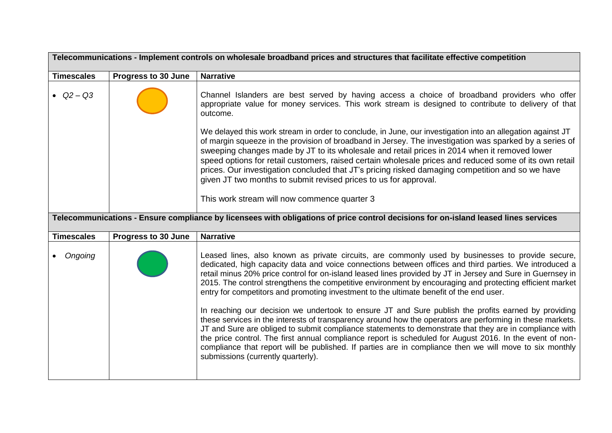| Telecommunications - Implement controls on wholesale broadband prices and structures that facilitate effective competition |                            |                                                                                                                                                                                                                                                                                                                                                                                                                                                                                                                                                                                                         |
|----------------------------------------------------------------------------------------------------------------------------|----------------------------|---------------------------------------------------------------------------------------------------------------------------------------------------------------------------------------------------------------------------------------------------------------------------------------------------------------------------------------------------------------------------------------------------------------------------------------------------------------------------------------------------------------------------------------------------------------------------------------------------------|
| <b>Timescales</b>                                                                                                          | <b>Progress to 30 June</b> | <b>Narrative</b>                                                                                                                                                                                                                                                                                                                                                                                                                                                                                                                                                                                        |
| • $Q2 - Q3$                                                                                                                |                            | Channel Islanders are best served by having access a choice of broadband providers who offer<br>appropriate value for money services. This work stream is designed to contribute to delivery of that<br>outcome.                                                                                                                                                                                                                                                                                                                                                                                        |
|                                                                                                                            |                            | We delayed this work stream in order to conclude, in June, our investigation into an allegation against JT<br>of margin squeeze in the provision of broadband in Jersey. The investigation was sparked by a series of<br>sweeping changes made by JT to its wholesale and retail prices in 2014 when it removed lower<br>speed options for retail customers, raised certain wholesale prices and reduced some of its own retail<br>prices. Our investigation concluded that JT's pricing risked damaging competition and so we have<br>given JT two months to submit revised prices to us for approval. |
|                                                                                                                            |                            | This work stream will now commence quarter 3                                                                                                                                                                                                                                                                                                                                                                                                                                                                                                                                                            |
|                                                                                                                            |                            | Telecommunications - Ensure compliance by licensees with obligations of price control decisions for on-island leased lines services                                                                                                                                                                                                                                                                                                                                                                                                                                                                     |
| <b>Timescales</b>                                                                                                          | <b>Progress to 30 June</b> | <b>Narrative</b>                                                                                                                                                                                                                                                                                                                                                                                                                                                                                                                                                                                        |
| Ongoing                                                                                                                    |                            | Leased lines, also known as private circuits, are commonly used by businesses to provide secure,<br>dedicated, high capacity data and voice connections between offices and third parties. We introduced a<br>retail minus 20% price control for on-island leased lines provided by JT in Jersey and Sure in Guernsey in<br>2015. The control strengthens the competitive environment by encouraging and protecting efficient market<br>entry for competitors and promoting investment to the ultimate benefit of the end user.                                                                         |
|                                                                                                                            |                            | In reaching our decision we undertook to ensure JT and Sure publish the profits earned by providing<br>these services in the interests of transparency around how the operators are performing in these markets.<br>JT and Sure are obliged to submit compliance statements to demonstrate that they are in compliance with<br>the price control. The first annual compliance report is scheduled for August 2016. In the event of non-<br>compliance that report will be published. If parties are in compliance then we will move to six monthly<br>submissions (currently quarterly).                |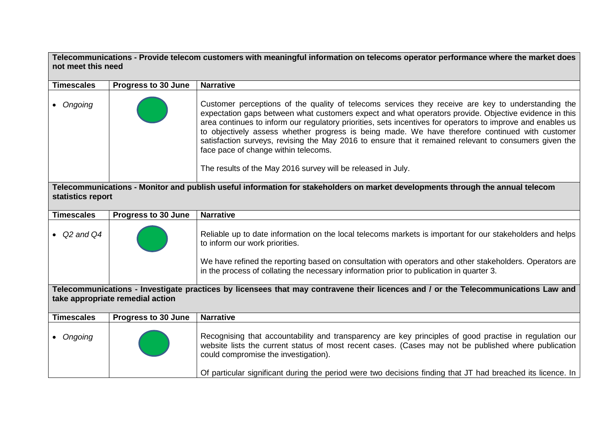**Telecommunications - Provide telecom customers with meaningful information on telecoms operator performance where the market does not meet this need**

| <b>Timescales</b>   | <b>Progress to 30 June</b>       | <b>Narrative</b>                                                                                                                                                                                                                                                                                                                                                                                                                                                                                                                                                                                                                                |
|---------------------|----------------------------------|-------------------------------------------------------------------------------------------------------------------------------------------------------------------------------------------------------------------------------------------------------------------------------------------------------------------------------------------------------------------------------------------------------------------------------------------------------------------------------------------------------------------------------------------------------------------------------------------------------------------------------------------------|
| Ongoing             |                                  | Customer perceptions of the quality of telecoms services they receive are key to understanding the<br>expectation gaps between what customers expect and what operators provide. Objective evidence in this<br>area continues to inform our regulatory priorities, sets incentives for operators to improve and enables us<br>to objectively assess whether progress is being made. We have therefore continued with customer<br>satisfaction surveys, revising the May 2016 to ensure that it remained relevant to consumers given the<br>face pace of change within telecoms.<br>The results of the May 2016 survey will be released in July. |
| statistics report   |                                  | Telecommunications - Monitor and publish useful information for stakeholders on market developments through the annual telecom                                                                                                                                                                                                                                                                                                                                                                                                                                                                                                                  |
| <b>Timescales</b>   | <b>Progress to 30 June</b>       | <b>Narrative</b>                                                                                                                                                                                                                                                                                                                                                                                                                                                                                                                                                                                                                                |
|                     |                                  |                                                                                                                                                                                                                                                                                                                                                                                                                                                                                                                                                                                                                                                 |
| $\bullet$ Q2 and Q4 |                                  | Reliable up to date information on the local telecoms markets is important for our stakeholders and helps<br>to inform our work priorities.                                                                                                                                                                                                                                                                                                                                                                                                                                                                                                     |
|                     |                                  | We have refined the reporting based on consultation with operators and other stakeholders. Operators are<br>in the process of collating the necessary information prior to publication in quarter 3.                                                                                                                                                                                                                                                                                                                                                                                                                                            |
|                     |                                  | Telecommunications - Investigate practices by licensees that may contravene their licences and / or the Telecommunications Law and                                                                                                                                                                                                                                                                                                                                                                                                                                                                                                              |
|                     | take appropriate remedial action |                                                                                                                                                                                                                                                                                                                                                                                                                                                                                                                                                                                                                                                 |
| <b>Timescales</b>   | Progress to 30 June              | <b>Narrative</b>                                                                                                                                                                                                                                                                                                                                                                                                                                                                                                                                                                                                                                |
| Ongoing             |                                  | Recognising that accountability and transparency are key principles of good practise in regulation our<br>website lists the current status of most recent cases. (Cases may not be published where publication<br>could compromise the investigation).                                                                                                                                                                                                                                                                                                                                                                                          |
|                     |                                  | Of particular significant during the period were two decisions finding that JT had breached its licence. In                                                                                                                                                                                                                                                                                                                                                                                                                                                                                                                                     |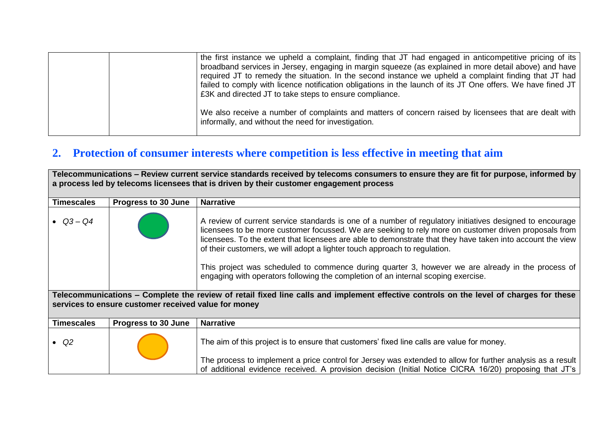|  | the first instance we upheld a complaint, finding that JT had engaged in anticompetitive pricing of its<br>broadband services in Jersey, engaging in margin squeeze (as explained in more detail above) and have<br>required JT to remedy the situation. In the second instance we upheld a complaint finding that JT had<br>failed to comply with licence notification obligations in the launch of its JT One offers. We have fined JT<br>£3K and directed JT to take steps to ensure compliance. |
|--|-----------------------------------------------------------------------------------------------------------------------------------------------------------------------------------------------------------------------------------------------------------------------------------------------------------------------------------------------------------------------------------------------------------------------------------------------------------------------------------------------------|
|  | We also receive a number of complaints and matters of concern raised by licensees that are dealt with<br>informally, and without the need for investigation.                                                                                                                                                                                                                                                                                                                                        |

# **2. Protection of consumer interests where competition is less effective in meeting that aim**

| Telecommunications - Review current service standards received by telecoms consumers to ensure they are fit for purpose, informed by<br>a process led by telecoms licensees that is driven by their customer engagement process |                            |                                                                                                                                                                                                                                                                                                                                                                                                                                                                                                                                                                                                        |
|---------------------------------------------------------------------------------------------------------------------------------------------------------------------------------------------------------------------------------|----------------------------|--------------------------------------------------------------------------------------------------------------------------------------------------------------------------------------------------------------------------------------------------------------------------------------------------------------------------------------------------------------------------------------------------------------------------------------------------------------------------------------------------------------------------------------------------------------------------------------------------------|
| <b>Timescales</b>                                                                                                                                                                                                               | <b>Progress to 30 June</b> | <b>Narrative</b>                                                                                                                                                                                                                                                                                                                                                                                                                                                                                                                                                                                       |
| • $Q3 - Q4$                                                                                                                                                                                                                     |                            | A review of current service standards is one of a number of regulatory initiatives designed to encourage<br>licensees to be more customer focussed. We are seeking to rely more on customer driven proposals from<br>licensees. To the extent that licensees are able to demonstrate that they have taken into account the view<br>of their customers, we will adopt a lighter touch approach to regulation.<br>This project was scheduled to commence during quarter 3, however we are already in the process of<br>engaging with operators following the completion of an internal scoping exercise. |
| Telecommunications – Complete the review of retail fixed line calls and implement effective controls on the level of charges for these<br>services to ensure customer received value for money                                  |                            |                                                                                                                                                                                                                                                                                                                                                                                                                                                                                                                                                                                                        |
| <b>Timescales</b>                                                                                                                                                                                                               | Progress to 30 June        | <b>Narrative</b>                                                                                                                                                                                                                                                                                                                                                                                                                                                                                                                                                                                       |
| $\bullet$ Q2                                                                                                                                                                                                                    |                            | The aim of this project is to ensure that customers' fixed line calls are value for money.                                                                                                                                                                                                                                                                                                                                                                                                                                                                                                             |
|                                                                                                                                                                                                                                 |                            | The process to implement a price control for Jersey was extended to allow for further analysis as a result<br>of additional evidence received. A provision decision (Initial Notice CICRA 16/20) proposing that JT's                                                                                                                                                                                                                                                                                                                                                                                   |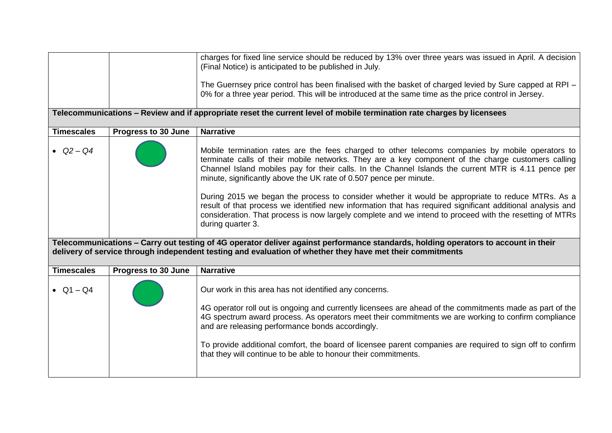|                   |                            | charges for fixed line service should be reduced by 13% over three years was issued in April. A decision<br>(Final Notice) is anticipated to be published in July.<br>The Guernsey price control has been finalised with the basket of charged levied by Sure capped at RPI –                                                                                                        |
|-------------------|----------------------------|--------------------------------------------------------------------------------------------------------------------------------------------------------------------------------------------------------------------------------------------------------------------------------------------------------------------------------------------------------------------------------------|
|                   |                            | 0% for a three year period. This will be introduced at the same time as the price control in Jersey.                                                                                                                                                                                                                                                                                 |
|                   |                            | Telecommunications – Review and if appropriate reset the current level of mobile termination rate charges by licensees                                                                                                                                                                                                                                                               |
| <b>Timescales</b> | <b>Progress to 30 June</b> | <b>Narrative</b>                                                                                                                                                                                                                                                                                                                                                                     |
| • $Q2 - Q4$       |                            | Mobile termination rates are the fees charged to other telecoms companies by mobile operators to<br>terminate calls of their mobile networks. They are a key component of the charge customers calling<br>Channel Island mobiles pay for their calls. In the Channel Islands the current MTR is 4.11 pence per<br>minute, significantly above the UK rate of 0.507 pence per minute. |
|                   |                            | During 2015 we began the process to consider whether it would be appropriate to reduce MTRs. As a<br>result of that process we identified new information that has required significant additional analysis and<br>consideration. That process is now largely complete and we intend to proceed with the resetting of MTRs<br>during quarter 3.                                      |
|                   |                            | Telecommunications - Carry out testing of 4G operator deliver against performance standards, holding operators to account in their<br>delivery of service through independent testing and evaluation of whether they have met their commitments                                                                                                                                      |
| <b>Timescales</b> | <b>Progress to 30 June</b> | <b>Narrative</b>                                                                                                                                                                                                                                                                                                                                                                     |
| • $Q1 - Q4$       |                            | Our work in this area has not identified any concerns.                                                                                                                                                                                                                                                                                                                               |
|                   |                            | 4G operator roll out is ongoing and currently licensees are ahead of the commitments made as part of the<br>4G spectrum award process. As operators meet their commitments we are working to confirm compliance<br>and are releasing performance bonds accordingly.                                                                                                                  |
|                   |                            | To provide additional comfort, the board of licensee parent companies are required to sign off to confirm<br>that they will continue to be able to honour their commitments.                                                                                                                                                                                                         |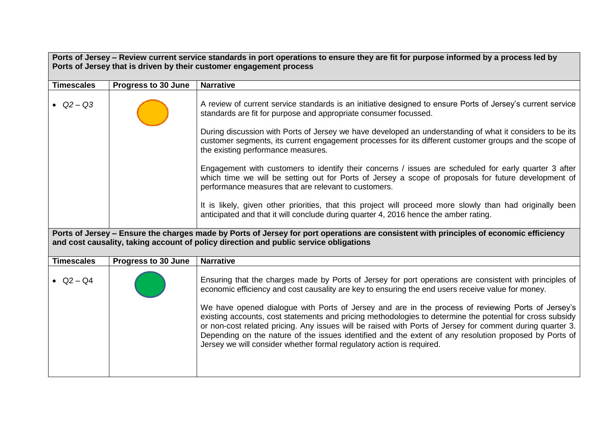|                   | Ports of Jersey – Review current service standards in port operations to ensure they are fit for purpose informed by a process led by |                                                                                                                                                                                                                                                                                                                                                                                                                                                                                                                 |  |
|-------------------|---------------------------------------------------------------------------------------------------------------------------------------|-----------------------------------------------------------------------------------------------------------------------------------------------------------------------------------------------------------------------------------------------------------------------------------------------------------------------------------------------------------------------------------------------------------------------------------------------------------------------------------------------------------------|--|
|                   |                                                                                                                                       | Ports of Jersey that is driven by their customer engagement process                                                                                                                                                                                                                                                                                                                                                                                                                                             |  |
| <b>Timescales</b> | Progress to 30 June                                                                                                                   | <b>Narrative</b>                                                                                                                                                                                                                                                                                                                                                                                                                                                                                                |  |
|                   |                                                                                                                                       |                                                                                                                                                                                                                                                                                                                                                                                                                                                                                                                 |  |
| • $Q2 - Q3$       |                                                                                                                                       | A review of current service standards is an initiative designed to ensure Ports of Jersey's current service<br>standards are fit for purpose and appropriate consumer focussed.                                                                                                                                                                                                                                                                                                                                 |  |
|                   |                                                                                                                                       | During discussion with Ports of Jersey we have developed an understanding of what it considers to be its<br>customer segments, its current engagement processes for its different customer groups and the scope of<br>the existing performance measures.                                                                                                                                                                                                                                                        |  |
|                   |                                                                                                                                       | Engagement with customers to identify their concerns / issues are scheduled for early quarter 3 after<br>which time we will be setting out for Ports of Jersey a scope of proposals for future development of<br>performance measures that are relevant to customers.                                                                                                                                                                                                                                           |  |
|                   |                                                                                                                                       | It is likely, given other priorities, that this project will proceed more slowly than had originally been<br>anticipated and that it will conclude during quarter 4, 2016 hence the amber rating.                                                                                                                                                                                                                                                                                                               |  |
|                   |                                                                                                                                       | Ports of Jersey - Ensure the charges made by Ports of Jersey for port operations are consistent with principles of economic efficiency<br>and cost causality, taking account of policy direction and public service obligations                                                                                                                                                                                                                                                                                 |  |
| <b>Timescales</b> | Progress to 30 June                                                                                                                   | <b>Narrative</b>                                                                                                                                                                                                                                                                                                                                                                                                                                                                                                |  |
| • $Q2 - Q4$       |                                                                                                                                       | Ensuring that the charges made by Ports of Jersey for port operations are consistent with principles of<br>economic efficiency and cost causality are key to ensuring the end users receive value for money.                                                                                                                                                                                                                                                                                                    |  |
|                   |                                                                                                                                       | We have opened dialogue with Ports of Jersey and are in the process of reviewing Ports of Jersey's<br>existing accounts, cost statements and pricing methodologies to determine the potential for cross subsidy<br>or non-cost related pricing. Any issues will be raised with Ports of Jersey for comment during quarter 3.<br>Depending on the nature of the issues identified and the extent of any resolution proposed by Ports of<br>Jersey we will consider whether formal regulatory action is required. |  |
|                   |                                                                                                                                       |                                                                                                                                                                                                                                                                                                                                                                                                                                                                                                                 |  |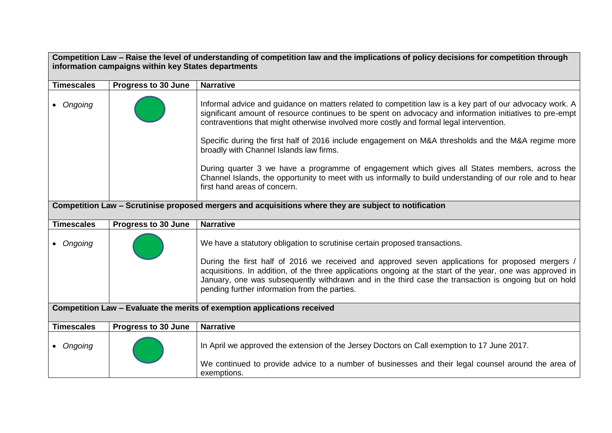| Competition Law - Raise the level of understanding of competition law and the implications of policy decisions for competition through |                     |                                                                                                                                                                                                                                                                                                                                                                                                                                                                                                                                                                                                                                                                                                                  |
|----------------------------------------------------------------------------------------------------------------------------------------|---------------------|------------------------------------------------------------------------------------------------------------------------------------------------------------------------------------------------------------------------------------------------------------------------------------------------------------------------------------------------------------------------------------------------------------------------------------------------------------------------------------------------------------------------------------------------------------------------------------------------------------------------------------------------------------------------------------------------------------------|
| information campaigns within key States departments                                                                                    |                     |                                                                                                                                                                                                                                                                                                                                                                                                                                                                                                                                                                                                                                                                                                                  |
| <b>Timescales</b>                                                                                                                      | Progress to 30 June | <b>Narrative</b>                                                                                                                                                                                                                                                                                                                                                                                                                                                                                                                                                                                                                                                                                                 |
| Ongoing                                                                                                                                |                     | Informal advice and guidance on matters related to competition law is a key part of our advocacy work. A<br>significant amount of resource continues to be spent on advocacy and information initiatives to pre-empt<br>contraventions that might otherwise involved more costly and formal legal intervention.<br>Specific during the first half of 2016 include engagement on M&A thresholds and the M&A regime more<br>broadly with Channel Islands law firms.<br>During quarter 3 we have a programme of engagement which gives all States members, across the<br>Channel Islands, the opportunity to meet with us informally to build understanding of our role and to hear<br>first hand areas of concern. |
|                                                                                                                                        |                     | Competition Law - Scrutinise proposed mergers and acquisitions where they are subject to notification                                                                                                                                                                                                                                                                                                                                                                                                                                                                                                                                                                                                            |
| <b>Timescales</b>                                                                                                                      | Progress to 30 June | <b>Narrative</b>                                                                                                                                                                                                                                                                                                                                                                                                                                                                                                                                                                                                                                                                                                 |
|                                                                                                                                        |                     |                                                                                                                                                                                                                                                                                                                                                                                                                                                                                                                                                                                                                                                                                                                  |
| • Ongoing                                                                                                                              |                     | We have a statutory obligation to scrutinise certain proposed transactions.<br>During the first half of 2016 we received and approved seven applications for proposed mergers /<br>acquisitions. In addition, of the three applications ongoing at the start of the year, one was approved in<br>January, one was subsequently withdrawn and in the third case the transaction is ongoing but on hold<br>pending further information from the parties.                                                                                                                                                                                                                                                           |
| Competition Law - Evaluate the merits of exemption applications received                                                               |                     |                                                                                                                                                                                                                                                                                                                                                                                                                                                                                                                                                                                                                                                                                                                  |
| <b>Timescales</b>                                                                                                                      | Progress to 30 June | <b>Narrative</b>                                                                                                                                                                                                                                                                                                                                                                                                                                                                                                                                                                                                                                                                                                 |
| • Ongoing                                                                                                                              |                     | In April we approved the extension of the Jersey Doctors on Call exemption to 17 June 2017.<br>We continued to provide advice to a number of businesses and their legal counsel around the area of                                                                                                                                                                                                                                                                                                                                                                                                                                                                                                               |
|                                                                                                                                        |                     | exemptions.                                                                                                                                                                                                                                                                                                                                                                                                                                                                                                                                                                                                                                                                                                      |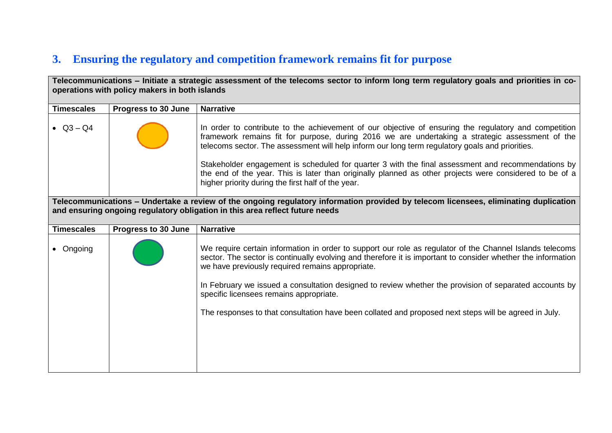# **3. Ensuring the regulatory and competition framework remains fit for purpose**

| Telecommunications – Initiate a strategic assessment of the telecoms sector to inform long term regulatory goals and priorities in co-<br>operations with policy makers in both islands |                     |                                                                                                                                                                                                                                                                                                             |
|-----------------------------------------------------------------------------------------------------------------------------------------------------------------------------------------|---------------------|-------------------------------------------------------------------------------------------------------------------------------------------------------------------------------------------------------------------------------------------------------------------------------------------------------------|
| <b>Timescales</b>                                                                                                                                                                       | Progress to 30 June | <b>Narrative</b>                                                                                                                                                                                                                                                                                            |
| • $Q3 - Q4$                                                                                                                                                                             |                     | In order to contribute to the achievement of our objective of ensuring the regulatory and competition<br>framework remains fit for purpose, during 2016 we are undertaking a strategic assessment of the<br>telecoms sector. The assessment will help inform our long term regulatory goals and priorities. |
|                                                                                                                                                                                         |                     | Stakeholder engagement is scheduled for quarter 3 with the final assessment and recommendations by<br>the end of the year. This is later than originally planned as other projects were considered to be of a<br>higher priority during the first half of the year.                                         |
|                                                                                                                                                                                         |                     | Telecommunications - Undertake a review of the ongoing regulatory information provided by telecom licensees, eliminating duplication<br>and ensuring ongoing regulatory obligation in this area reflect future needs                                                                                        |
| <b>Timescales</b>                                                                                                                                                                       | Progress to 30 June | <b>Narrative</b>                                                                                                                                                                                                                                                                                            |
| • Ongoing                                                                                                                                                                               |                     | We require certain information in order to support our role as regulator of the Channel Islands telecoms<br>sector. The sector is continually evolving and therefore it is important to consider whether the information<br>we have previously required remains appropriate.                                |
|                                                                                                                                                                                         |                     | In February we issued a consultation designed to review whether the provision of separated accounts by<br>specific licensees remains appropriate.                                                                                                                                                           |
|                                                                                                                                                                                         |                     | The responses to that consultation have been collated and proposed next steps will be agreed in July.                                                                                                                                                                                                       |
|                                                                                                                                                                                         |                     |                                                                                                                                                                                                                                                                                                             |
|                                                                                                                                                                                         |                     |                                                                                                                                                                                                                                                                                                             |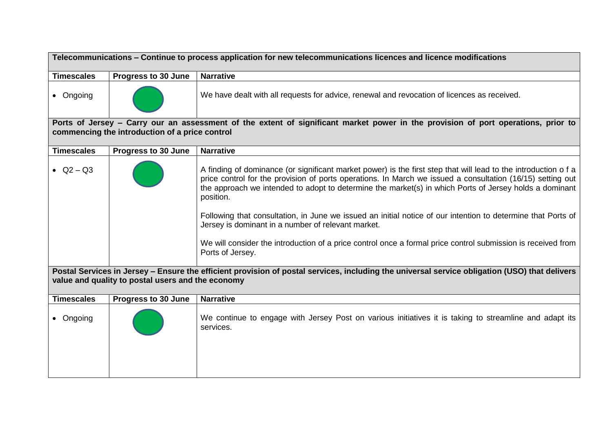| Telecommunications - Continue to process application for new telecommunications licences and licence modifications                                                                                 |                                                |                                                                                                                                                                                                                                                                                                                                                     |
|----------------------------------------------------------------------------------------------------------------------------------------------------------------------------------------------------|------------------------------------------------|-----------------------------------------------------------------------------------------------------------------------------------------------------------------------------------------------------------------------------------------------------------------------------------------------------------------------------------------------------|
| <b>Timescales</b>                                                                                                                                                                                  | Progress to 30 June                            | <b>Narrative</b>                                                                                                                                                                                                                                                                                                                                    |
| • Ongoing                                                                                                                                                                                          |                                                | We have dealt with all requests for advice, renewal and revocation of licences as received.                                                                                                                                                                                                                                                         |
|                                                                                                                                                                                                    | commencing the introduction of a price control | Ports of Jersey - Carry our an assessment of the extent of significant market power in the provision of port operations, prior to                                                                                                                                                                                                                   |
| <b>Timescales</b>                                                                                                                                                                                  | Progress to 30 June                            | <b>Narrative</b>                                                                                                                                                                                                                                                                                                                                    |
| • $Q2 - Q3$                                                                                                                                                                                        |                                                | A finding of dominance (or significant market power) is the first step that will lead to the introduction of a<br>price control for the provision of ports operations. In March we issued a consultation (16/15) setting out<br>the approach we intended to adopt to determine the market(s) in which Ports of Jersey holds a dominant<br>position. |
|                                                                                                                                                                                                    |                                                | Following that consultation, in June we issued an initial notice of our intention to determine that Ports of<br>Jersey is dominant in a number of relevant market.                                                                                                                                                                                  |
|                                                                                                                                                                                                    |                                                | We will consider the introduction of a price control once a formal price control submission is received from<br>Ports of Jersey.                                                                                                                                                                                                                    |
| Postal Services in Jersey - Ensure the efficient provision of postal services, including the universal service obligation (USO) that delivers<br>value and quality to postal users and the economy |                                                |                                                                                                                                                                                                                                                                                                                                                     |
| <b>Timescales</b>                                                                                                                                                                                  | <b>Progress to 30 June</b>                     | <b>Narrative</b>                                                                                                                                                                                                                                                                                                                                    |
| • Ongoing                                                                                                                                                                                          |                                                | We continue to engage with Jersey Post on various initiatives it is taking to streamline and adapt its<br>services.                                                                                                                                                                                                                                 |
|                                                                                                                                                                                                    |                                                |                                                                                                                                                                                                                                                                                                                                                     |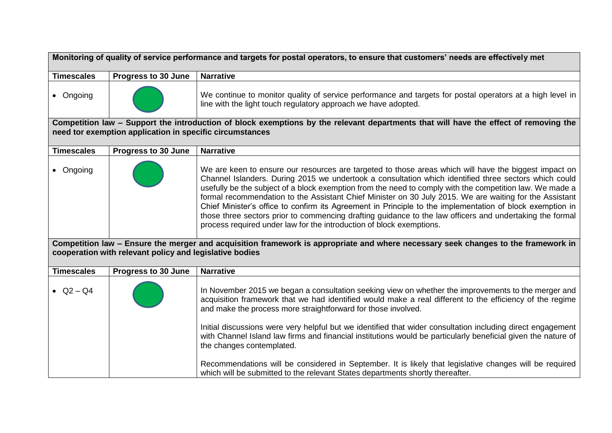|                   | Monitoring of quality of service performance and targets for postal operators, to ensure that customers' needs are effectively met |                                                                                                                                                                                                                                                                                                                                                                                                                                                                                                                                                                                                                                                                                                                                        |  |
|-------------------|------------------------------------------------------------------------------------------------------------------------------------|----------------------------------------------------------------------------------------------------------------------------------------------------------------------------------------------------------------------------------------------------------------------------------------------------------------------------------------------------------------------------------------------------------------------------------------------------------------------------------------------------------------------------------------------------------------------------------------------------------------------------------------------------------------------------------------------------------------------------------------|--|
| <b>Timescales</b> | Progress to 30 June                                                                                                                | <b>Narrative</b>                                                                                                                                                                                                                                                                                                                                                                                                                                                                                                                                                                                                                                                                                                                       |  |
| • Ongoing         |                                                                                                                                    | We continue to monitor quality of service performance and targets for postal operators at a high level in<br>line with the light touch regulatory approach we have adopted.                                                                                                                                                                                                                                                                                                                                                                                                                                                                                                                                                            |  |
|                   | need tor exemption application in specific circumstances                                                                           | Competition law - Support the introduction of block exemptions by the relevant departments that will have the effect of removing the                                                                                                                                                                                                                                                                                                                                                                                                                                                                                                                                                                                                   |  |
| <b>Timescales</b> | Progress to 30 June                                                                                                                | <b>Narrative</b>                                                                                                                                                                                                                                                                                                                                                                                                                                                                                                                                                                                                                                                                                                                       |  |
| • Ongoing         |                                                                                                                                    | We are keen to ensure our resources are targeted to those areas which will have the biggest impact on<br>Channel Islanders. During 2015 we undertook a consultation which identified three sectors which could<br>usefully be the subject of a block exemption from the need to comply with the competition law. We made a<br>formal recommendation to the Assistant Chief Minister on 30 July 2015. We are waiting for the Assistant<br>Chief Minister's office to confirm its Agreement in Principle to the implementation of block exemption in<br>those three sectors prior to commencing drafting guidance to the law officers and undertaking the formal<br>process required under law for the introduction of block exemptions. |  |
|                   | cooperation with relevant policy and legislative bodies                                                                            | Competition law - Ensure the merger and acquisition framework is appropriate and where necessary seek changes to the framework in                                                                                                                                                                                                                                                                                                                                                                                                                                                                                                                                                                                                      |  |
| <b>Timescales</b> | <b>Progress to 30 June</b>                                                                                                         | <b>Narrative</b>                                                                                                                                                                                                                                                                                                                                                                                                                                                                                                                                                                                                                                                                                                                       |  |
| • $Q2 - Q4$       |                                                                                                                                    | In November 2015 we began a consultation seeking view on whether the improvements to the merger and<br>acquisition framework that we had identified would make a real different to the efficiency of the regime<br>and make the process more straightforward for those involved.<br>Initial discussions were very helpful but we identified that wider consultation including direct engagement                                                                                                                                                                                                                                                                                                                                        |  |
|                   |                                                                                                                                    | with Channel Island law firms and financial institutions would be particularly beneficial given the nature of<br>the changes contemplated.<br>Recommendations will be considered in September. It is likely that legislative changes will be required                                                                                                                                                                                                                                                                                                                                                                                                                                                                                  |  |
|                   |                                                                                                                                    | which will be submitted to the relevant States departments shortly thereafter.                                                                                                                                                                                                                                                                                                                                                                                                                                                                                                                                                                                                                                                         |  |